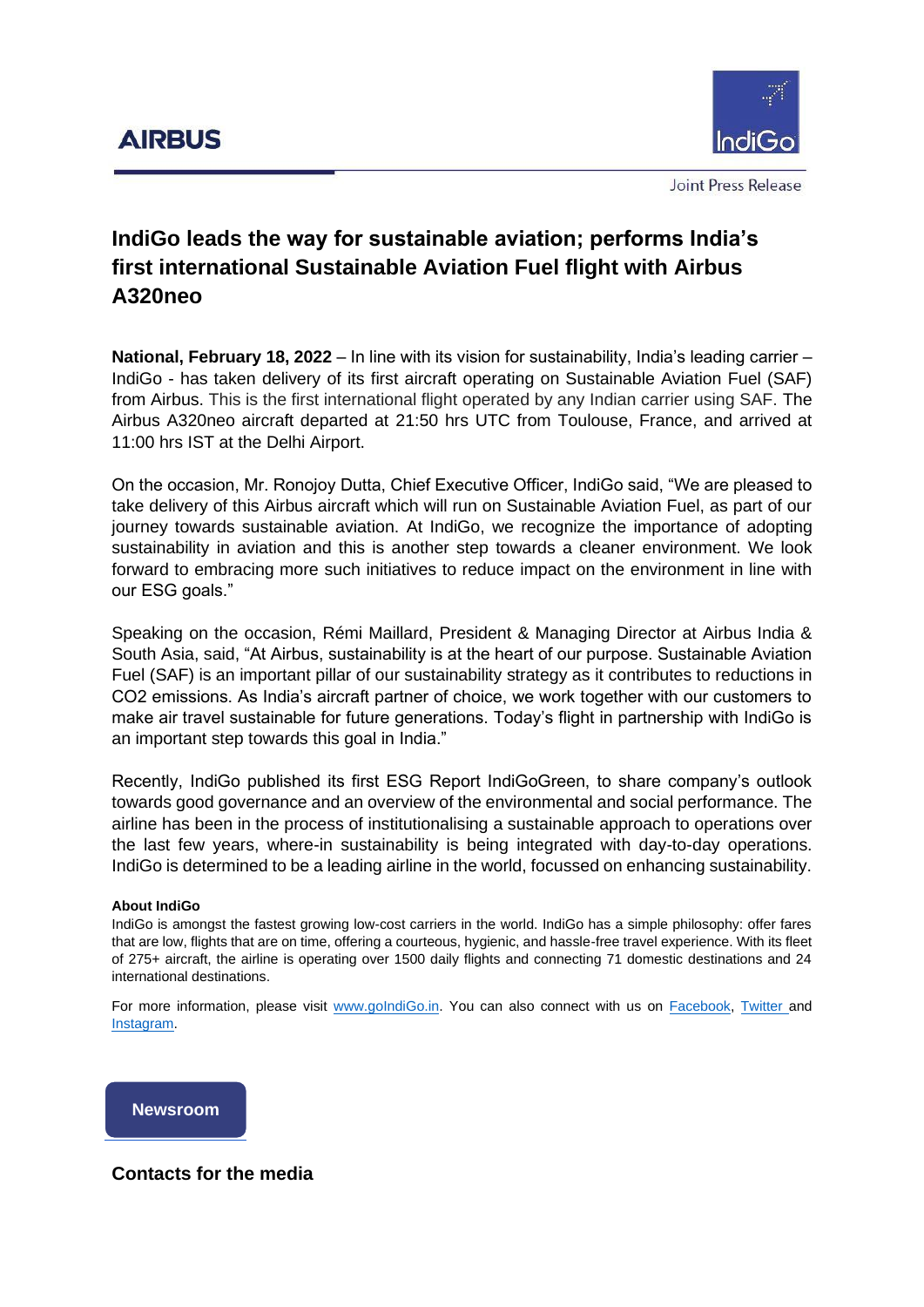

Joint Press Release

## **IndiGo leads the way for sustainable aviation; performs India's first international Sustainable Aviation Fuel flight with Airbus A320neo**

**National, February 18, 2022** – In line with its vision for sustainability, India's leading carrier – IndiGo - has taken delivery of its first aircraft operating on Sustainable Aviation Fuel (SAF) from Airbus. This is the first international flight operated by any Indian carrier using SAF. The Airbus A320neo aircraft departed at 21:50 hrs UTC from Toulouse, France, and arrived at 11:00 hrs IST at the Delhi Airport.

On the occasion, Mr. Ronojoy Dutta, Chief Executive Officer, IndiGo said, "We are pleased to take delivery of this Airbus aircraft which will run on Sustainable Aviation Fuel, as part of our journey towards sustainable aviation. At IndiGo, we recognize the importance of adopting sustainability in aviation and this is another step towards a cleaner environment. We look forward to embracing more such initiatives to reduce impact on the environment in line with our ESG goals."

Speaking on the occasion, Rémi Maillard, President & Managing Director at Airbus India & South Asia, said, "At Airbus, sustainability is at the heart of our purpose. Sustainable Aviation Fuel (SAF) is an important pillar of our sustainability strategy as it contributes to reductions in CO2 emissions. As India's aircraft partner of choice, we work together with our customers to make air travel sustainable for future generations. Today's flight in partnership with IndiGo is an important step towards this goal in India."

Recently, IndiGo published its first ESG Report IndiGoGreen, to share company's outlook towards good governance and an overview of the environmental and social performance. The airline has been in the process of institutionalising a sustainable approach to operations over the last few years, where-in sustainability is being integrated with day-to-day operations. IndiGo is determined to be a leading airline in the world, focussed on enhancing sustainability.

## **About IndiGo**

IndiGo is amongst the fastest growing low-cost carriers in the world. IndiGo has a simple philosophy: offer fares that are low, flights that are on time, offering a courteous, hygienic, and hassle-free travel experience. With its fleet of 275+ aircraft, the airline is operating over 1500 daily flights and connecting 71 domestic destinations and 24 international destinations.

For more information, please visit [www.goIndiGo.in.](http://www.goindigo.in/) You can also connect with us on [Facebook,](https://urldefense.proofpoint.com/v2/url?u=https-3A__www.facebook.com_goindigo.in_&d=DwMGaQ&c=qwStF0e4-YFyvjCeML3ehA&r=wP6ehsLHl1ir1UL4YeptzYIRG_X-5mxSgPSttnl0snU&m=p8LqOaon_fdw5TeJaYXKS29RYnE0r6UhSXUGcsH987Y&s=oVbXHx1oR_Zuz25DfqHGB8_A_59Vx96CmIKRHPfN7T4&e=) [Twitter](https://urldefense.proofpoint.com/v2/url?u=https-3A__twitter.com_IndiGo6E&d=DwMGaQ&c=qwStF0e4-YFyvjCeML3ehA&r=wP6ehsLHl1ir1UL4YeptzYIRG_X-5mxSgPSttnl0snU&m=p8LqOaon_fdw5TeJaYXKS29RYnE0r6UhSXUGcsH987Y&s=CCPyoir0kyDbtaC-D-LuuPEMk_hPRtGfYF877gdX4q0&e=) and [Instagram.](https://urldefense.proofpoint.com/v2/url?u=https-3A__www.instagram.com_indigo.6e_-3Fhl-3Den&d=DwMGaQ&c=qwStF0e4-YFyvjCeML3ehA&r=wP6ehsLHl1ir1UL4YeptzYIRG_X-5mxSgPSttnl0snU&m=p8LqOaon_fdw5TeJaYXKS29RYnE0r6UhSXUGcsH987Y&s=uK4xoztSxpp3TfP94mZ0NmR2NQQaxBRxW-HOYD5RAf4&e=)



## **Contacts for the media**